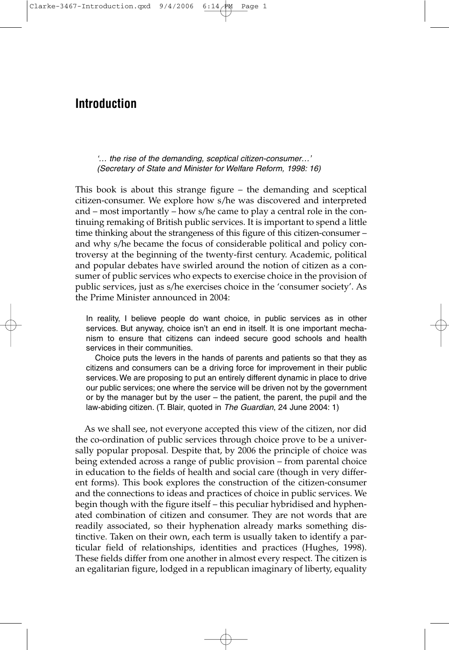'… the rise of the demanding, sceptical citizen-consumer…' (Secretary of State and Minister for Welfare Reform, 1998: 16)

This book is about this strange figure – the demanding and sceptical citizen-consumer. We explore how s/he was discovered and interpreted and – most importantly – how s/he came to play a central role in the continuing remaking of British public services. It is important to spend a little time thinking about the strangeness of this figure of this citizen-consumer – and why s/he became the focus of considerable political and policy controversy at the beginning of the twenty-first century. Academic, political and popular debates have swirled around the notion of citizen as a consumer of public services who expects to exercise choice in the provision of public services, just as s/he exercises choice in the 'consumer society'. As the Prime Minister announced in 2004:

In reality, I believe people do want choice, in public services as in other services. But anyway, choice isn't an end in itself. It is one important mechanism to ensure that citizens can indeed secure good schools and health services in their communities.

Choice puts the levers in the hands of parents and patients so that they as citizens and consumers can be a driving force for improvement in their public services. We are proposing to put an entirely different dynamic in place to drive our public services; one where the service will be driven not by the government or by the manager but by the user – the patient, the parent, the pupil and the law-abiding citizen. (T. Blair, quoted in The Guardian, 24 June 2004: 1)

As we shall see, not everyone accepted this view of the citizen, nor did the co-ordination of public services through choice prove to be a universally popular proposal. Despite that, by 2006 the principle of choice was being extended across a range of public provision – from parental choice in education to the fields of health and social care (though in very different forms). This book explores the construction of the citizen-consumer and the connections to ideas and practices of choice in public services. We begin though with the figure itself – this peculiar hybridised and hyphenated combination of citizen and consumer. They are not words that are readily associated, so their hyphenation already marks something distinctive. Taken on their own, each term is usually taken to identify a particular field of relationships, identities and practices (Hughes, 1998). These fields differ from one another in almost every respect. The citizen is an egalitarian figure, lodged in a republican imaginary of liberty, equality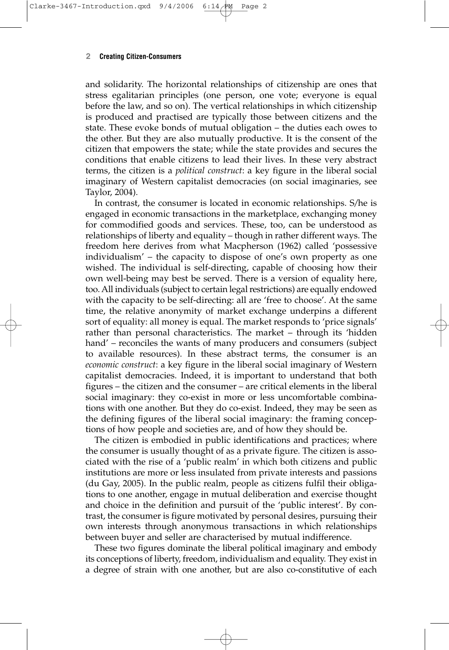and solidarity. The horizontal relationships of citizenship are ones that stress egalitarian principles (one person, one vote; everyone is equal before the law, and so on). The vertical relationships in which citizenship is produced and practised are typically those between citizens and the state. These evoke bonds of mutual obligation – the duties each owes to the other. But they are also mutually productive. It is the consent of the citizen that empowers the state; while the state provides and secures the conditions that enable citizens to lead their lives. In these very abstract terms, the citizen is a *political construct*: a key figure in the liberal social imaginary of Western capitalist democracies (on social imaginaries, see Taylor, 2004).

In contrast, the consumer is located in economic relationships. S/he is engaged in economic transactions in the marketplace, exchanging money for commodified goods and services. These, too, can be understood as relationships of liberty and equality – though in rather different ways. The freedom here derives from what Macpherson (1962) called 'possessive individualism' – the capacity to dispose of one's own property as one wished. The individual is self-directing, capable of choosing how their own well-being may best be served. There is a version of equality here, too. All individuals (subject to certain legal restrictions) are equally endowed with the capacity to be self-directing: all are 'free to choose'. At the same time, the relative anonymity of market exchange underpins a different sort of equality: all money is equal. The market responds to 'price signals' rather than personal characteristics. The market – through its 'hidden hand' – reconciles the wants of many producers and consumers (subject to available resources). In these abstract terms, the consumer is an *economic construct*: a key figure in the liberal social imaginary of Western capitalist democracies. Indeed, it is important to understand that both figures – the citizen and the consumer – are critical elements in the liberal social imaginary: they co-exist in more or less uncomfortable combinations with one another. But they do co-exist. Indeed, they may be seen as the defining figures of the liberal social imaginary: the framing conceptions of how people and societies are, and of how they should be.

The citizen is embodied in public identifications and practices; where the consumer is usually thought of as a private figure. The citizen is associated with the rise of a 'public realm' in which both citizens and public institutions are more or less insulated from private interests and passions (du Gay, 2005). In the public realm, people as citizens fulfil their obligations to one another, engage in mutual deliberation and exercise thought and choice in the definition and pursuit of the 'public interest'. By contrast, the consumer is figure motivated by personal desires, pursuing their own interests through anonymous transactions in which relationships between buyer and seller are characterised by mutual indifference.

These two figures dominate the liberal political imaginary and embody its conceptions of liberty, freedom, individualism and equality. They exist in a degree of strain with one another, but are also co-constitutive of each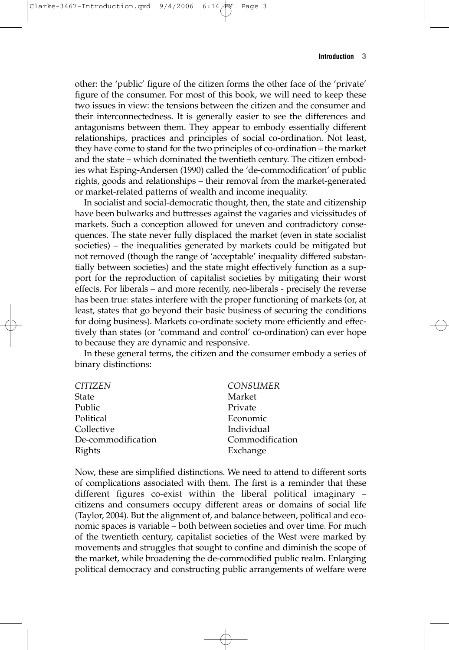other: the 'public' figure of the citizen forms the other face of the 'private' figure of the consumer. For most of this book, we will need to keep these two issues in view: the tensions between the citizen and the consumer and their interconnectedness. It is generally easier to see the differences and antagonisms between them. They appear to embody essentially different relationships, practices and principles of social co-ordination. Not least, they have come to stand for the two principles of co-ordination – the market and the state – which dominated the twentieth century. The citizen embodies what Esping-Andersen (1990) called the 'de-commodification' of public rights, goods and relationships – their removal from the market-generated or market-related patterns of wealth and income inequality.

In socialist and social-democratic thought, then, the state and citizenship have been bulwarks and buttresses against the vagaries and vicissitudes of markets. Such a conception allowed for uneven and contradictory consequences. The state never fully displaced the market (even in state socialist societies) – the inequalities generated by markets could be mitigated but not removed (though the range of 'acceptable' inequality differed substantially between societies) and the state might effectively function as a support for the reproduction of capitalist societies by mitigating their worst effects. For liberals – and more recently, neo-liberals - precisely the reverse has been true: states interfere with the proper functioning of markets (or, at least, states that go beyond their basic business of securing the conditions for doing business). Markets co-ordinate society more efficiently and effectively than states (or 'command and control' co-ordination) can ever hope to because they are dynamic and responsive.

In these general terms, the citizen and the consumer embody a series of binary distinctions:

| CONSUMER        |
|-----------------|
| Market          |
| Private         |
| Economic        |
| Individual      |
| Commodification |
| Exchange        |
|                 |

Now, these are simplified distinctions. We need to attend to different sorts of complications associated with them. The first is a reminder that these different figures co-exist within the liberal political imaginary – citizens and consumers occupy different areas or domains of social life (Taylor, 2004). But the alignment of, and balance between, political and economic spaces is variable – both between societies and over time. For much of the twentieth century, capitalist societies of the West were marked by movements and struggles that sought to confine and diminish the scope of the market, while broadening the de-commodified public realm. Enlarging political democracy and constructing public arrangements of welfare were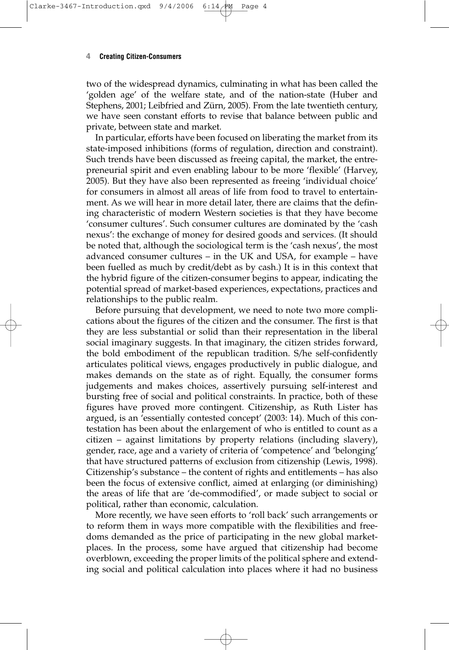two of the widespread dynamics, culminating in what has been called the 'golden age' of the welfare state, and of the nation-state (Huber and Stephens, 2001; Leibfried and Zürn, 2005). From the late twentieth century, we have seen constant efforts to revise that balance between public and private, between state and market.

In particular, efforts have been focused on liberating the market from its state-imposed inhibitions (forms of regulation, direction and constraint). Such trends have been discussed as freeing capital, the market, the entrepreneurial spirit and even enabling labour to be more 'flexible' (Harvey, 2005). But they have also been represented as freeing 'individual choice' for consumers in almost all areas of life from food to travel to entertainment. As we will hear in more detail later, there are claims that the defining characteristic of modern Western societies is that they have become 'consumer cultures'. Such consumer cultures are dominated by the 'cash nexus': the exchange of money for desired goods and services. (It should be noted that, although the sociological term is the 'cash nexus', the most advanced consumer cultures – in the UK and USA, for example – have been fuelled as much by credit/debt as by cash.) It is in this context that the hybrid figure of the citizen-consumer begins to appear, indicating the potential spread of market-based experiences, expectations, practices and relationships to the public realm.

Before pursuing that development, we need to note two more complications about the figures of the citizen and the consumer. The first is that they are less substantial or solid than their representation in the liberal social imaginary suggests. In that imaginary, the citizen strides forward, the bold embodiment of the republican tradition. S/he self-confidently articulates political views, engages productively in public dialogue, and makes demands on the state as of right. Equally, the consumer forms judgements and makes choices, assertively pursuing self-interest and bursting free of social and political constraints. In practice, both of these figures have proved more contingent. Citizenship, as Ruth Lister has argued, is an 'essentially contested concept' (2003: 14). Much of this contestation has been about the enlargement of who is entitled to count as a citizen – against limitations by property relations (including slavery), gender, race, age and a variety of criteria of 'competence' and 'belonging' that have structured patterns of exclusion from citizenship (Lewis, 1998). Citizenship's substance – the content of rights and entitlements – has also been the focus of extensive conflict, aimed at enlarging (or diminishing) the areas of life that are 'de-commodified', or made subject to social or political, rather than economic, calculation.

More recently, we have seen efforts to 'roll back' such arrangements or to reform them in ways more compatible with the flexibilities and freedoms demanded as the price of participating in the new global marketplaces. In the process, some have argued that citizenship had become overblown, exceeding the proper limits of the political sphere and extending social and political calculation into places where it had no business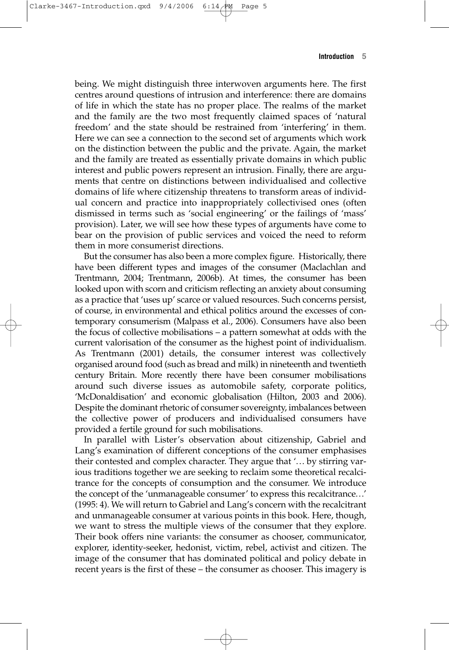being. We might distinguish three interwoven arguments here. The first centres around questions of intrusion and interference: there are domains of life in which the state has no proper place. The realms of the market and the family are the two most frequently claimed spaces of 'natural freedom' and the state should be restrained from 'interfering' in them. Here we can see a connection to the second set of arguments which work on the distinction between the public and the private. Again, the market and the family are treated as essentially private domains in which public interest and public powers represent an intrusion. Finally, there are arguments that centre on distinctions between individualised and collective domains of life where citizenship threatens to transform areas of individual concern and practice into inappropriately collectivised ones (often dismissed in terms such as 'social engineering' or the failings of 'mass' provision). Later, we will see how these types of arguments have come to bear on the provision of public services and voiced the need to reform them in more consumerist directions.

But the consumer has also been a more complex figure. Historically, there have been different types and images of the consumer (Maclachlan and Trentmann, 2004; Trentmann, 2006b). At times, the consumer has been looked upon with scorn and criticism reflecting an anxiety about consuming as a practice that 'uses up' scarce or valued resources. Such concerns persist, of course, in environmental and ethical politics around the excesses of contemporary consumerism (Malpass et al., 2006). Consumers have also been the focus of collective mobilisations – a pattern somewhat at odds with the current valorisation of the consumer as the highest point of individualism. As Trentmann (2001) details, the consumer interest was collectively organised around food (such as bread and milk) in nineteenth and twentieth century Britain. More recently there have been consumer mobilisations around such diverse issues as automobile safety, corporate politics, 'McDonaldisation' and economic globalisation (Hilton, 2003 and 2006). Despite the dominant rhetoric of consumer sovereignty, imbalances between the collective power of producers and individualised consumers have provided a fertile ground for such mobilisations.

In parallel with Lister's observation about citizenship, Gabriel and Lang's examination of different conceptions of the consumer emphasises their contested and complex character. They argue that '... by stirring various traditions together we are seeking to reclaim some theoretical recalcitrance for the concepts of consumption and the consumer. We introduce the concept of the 'unmanageable consumer' to express this recalcitrance...' (1995: 4). We will return to Gabriel and Lang's concern with the recalcitrant and unmanageable consumer at various points in this book. Here, though, we want to stress the multiple views of the consumer that they explore. Their book offers nine variants: the consumer as chooser, communicator, explorer, identity-seeker, hedonist, victim, rebel, activist and citizen. The image of the consumer that has dominated political and policy debate in recent years is the first of these – the consumer as chooser. This imagery is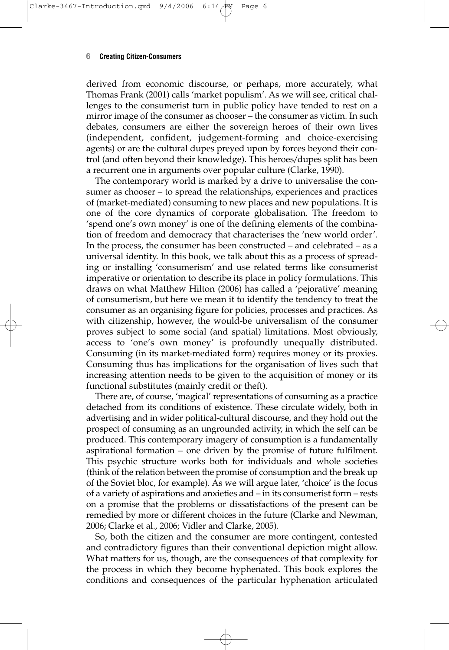derived from economic discourse, or perhaps, more accurately, what Thomas Frank (2001) calls 'market populism'. As we will see, critical challenges to the consumerist turn in public policy have tended to rest on a mirror image of the consumer as chooser – the consumer as victim. In such debates, consumers are either the sovereign heroes of their own lives (independent, confident, judgement-forming and choice-exercising agents) or are the cultural dupes preyed upon by forces beyond their control (and often beyond their knowledge). This heroes/dupes split has been a recurrent one in arguments over popular culture (Clarke, 1990).

The contemporary world is marked by a drive to universalise the consumer as chooser – to spread the relationships, experiences and practices of (market-mediated) consuming to new places and new populations. It is one of the core dynamics of corporate globalisation. The freedom to 'spend one's own money' is one of the defining elements of the combination of freedom and democracy that characterises the 'new world order'. In the process, the consumer has been constructed – and celebrated – as a universal identity. In this book, we talk about this as a process of spreading or installing 'consumerism' and use related terms like consumerist imperative or orientation to describe its place in policy formulations. This draws on what Matthew Hilton (2006) has called a 'pejorative' meaning of consumerism, but here we mean it to identify the tendency to treat the consumer as an organising figure for policies, processes and practices. As with citizenship, however, the would-be universalism of the consumer proves subject to some social (and spatial) limitations. Most obviously, access to 'one's own money' is profoundly unequally distributed. Consuming (in its market-mediated form) requires money or its proxies. Consuming thus has implications for the organisation of lives such that increasing attention needs to be given to the acquisition of money or its functional substitutes (mainly credit or theft).

There are, of course, 'magical' representations of consuming as a practice detached from its conditions of existence. These circulate widely, both in advertising and in wider political-cultural discourse, and they hold out the prospect of consuming as an ungrounded activity, in which the self can be produced. This contemporary imagery of consumption is a fundamentally aspirational formation – one driven by the promise of future fulfilment. This psychic structure works both for individuals and whole societies (think of the relation between the promise of consumption and the break up of the Soviet bloc, for example). As we will argue later, 'choice' is the focus of a variety of aspirations and anxieties and – in its consumerist form – rests on a promise that the problems or dissatisfactions of the present can be remedied by more or different choices in the future (Clarke and Newman, 2006; Clarke et al., 2006; Vidler and Clarke, 2005).

So, both the citizen and the consumer are more contingent, contested and contradictory figures than their conventional depiction might allow. What matters for us, though, are the consequences of that complexity for the process in which they become hyphenated. This book explores the conditions and consequences of the particular hyphenation articulated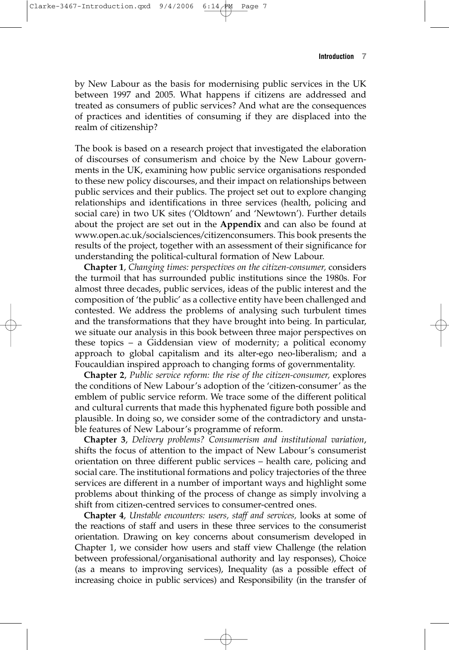by New Labour as the basis for modernising public services in the UK between 1997 and 2005. What happens if citizens are addressed and treated as consumers of public services? And what are the consequences of practices and identities of consuming if they are displaced into the realm of citizenship?

The book is based on a research project that investigated the elaboration of discourses of consumerism and choice by the New Labour governments in the UK, examining how public service organisations responded to these new policy discourses, and their impact on relationships between public services and their publics. The project set out to explore changing relationships and identifications in three services (health, policing and social care) in two UK sites ('Oldtown' and 'Newtown'). Further details about the project are set out in the **Appendix** and can also be found at www.open.ac.uk/socialsciences/citizenconsumers. This book presents the results of the project, together with an assessment of their significance for understanding the political-cultural formation of New Labour.

**Chapter 1**, *Changing times: perspectives on the citizen-consumer,* considers the turmoil that has surrounded public institutions since the 1980s. For almost three decades, public services, ideas of the public interest and the composition of 'the public' as a collective entity have been challenged and contested. We address the problems of analysing such turbulent times and the transformations that they have brought into being. In particular, we situate our analysis in this book between three major perspectives on these topics – a Giddensian view of modernity; a political economy approach to global capitalism and its alter-ego neo-liberalism; and a Foucauldian inspired approach to changing forms of governmentality.

**Chapter 2**, *Public service reform: the rise of the citizen-consumer,* explores the conditions of New Labour's adoption of the 'citizen-consumer' as the emblem of public service reform. We trace some of the different political and cultural currents that made this hyphenated figure both possible and plausible. In doing so, we consider some of the contradictory and unstable features of New Labour's programme of reform.

**Chapter 3**, *Delivery problems? Consumerism and institutional variation*, shifts the focus of attention to the impact of New Labour's consumerist orientation on three different public services – health care, policing and social care. The institutional formations and policy trajectories of the three services are different in a number of important ways and highlight some problems about thinking of the process of change as simply involving a shift from citizen-centred services to consumer-centred ones.

**Chapter 4**, *Unstable encounters: users, staff and services,* looks at some of the reactions of staff and users in these three services to the consumerist orientation. Drawing on key concerns about consumerism developed in Chapter 1, we consider how users and staff view Challenge (the relation between professional/organisational authority and lay responses), Choice (as a means to improving services), Inequality (as a possible effect of increasing choice in public services) and Responsibility (in the transfer of